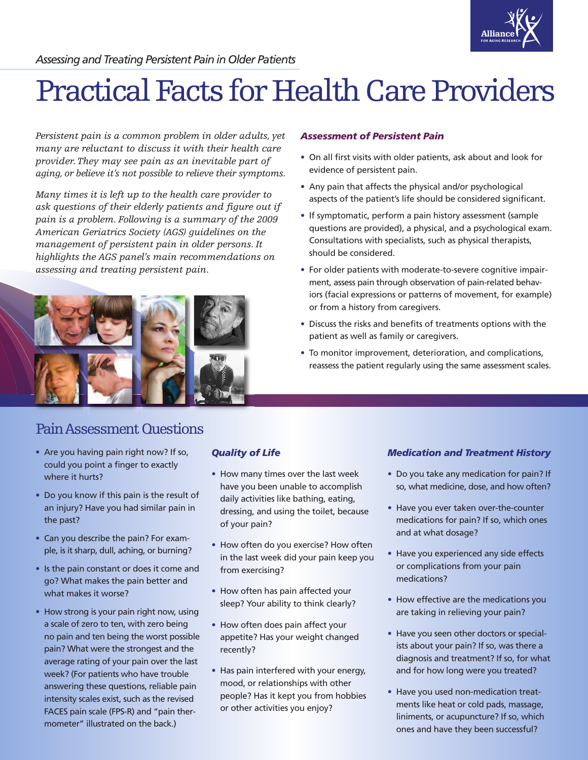

*Assessing and Treating Persistent Pain in Older Patients*

# Practical Facts for Health Care Providers

*Persistent pain is a common problem in older adults, yet many are reluctant to discuss it with their health care provider. They may see pain as an inevitable part of aging, or believe it's not possible to relieve their symptoms.*

*Many times it is left up to the health care provider to ask questions of their elderly patients and figure out if pain is a problem. Following is a summary of the 2009 American Geriatrics Society (AGS) guidelines on the management of persistent pain in older persons. It highlights the AGS panel's main recommendations on assessing and treating persistent pain.*



## Pain Assessment Questions

- Are you having pain right now? If so, could you point a finger to exactly where it hurts?
- Do you know if this pain is the result of an injury? Have you had similar pain in the past?
- Can you describe the pain? For example, is it sharp, dull, aching, or burning?
- Is the pain constant or does it come and go? What makes the pain better and what makes it worse?
- How strong is your pain right now, using a scale of zero to ten, with zero being no pain and ten being the worst possible pain? What were the strongest and the average rating of your pain over the last week? (For patients who have trouble answering these questions, reliable pain intensity scales exist, such as the revised FACES pain scale (FPS-R) and "pain thermometer" illustrated on the back.)

## *Quality of Life*

- How many times over the last week have you been unable to accomplish daily activities like bathing, eating, dressing, and using the toilet, because of your pain?
- How often do you exercise? How often in the last week did your pain keep you from exercising?
- How often has pain affected your sleep? Your ability to think clearly?
- How often does pain affect your appetite? Has your weight changed recently?
- Has pain interfered with your energy, mood, or relationships with other people? Has it kept you from hobbies or other activities you enjoy?

### *Assessment of Persistent Pain*

- On all first visits with older patients, ask about and look for evidence of persistent pain.
- Any pain that affects the physical and/or psychological aspects of the patient's life should be considered significant.
- If symptomatic, perform a pain history assessment (sample questions are provided), a physical, and a psychological exam. Consultations with specialists, such as physical therapists, should be considered.
- For older patients with moderate-to-severe cognitive impairment, assess pain through observation of pain-related behaviors (facial expressions or patterns of movement, for example) or from a history from caregivers.
- Discuss the risks and benefits of treatments options with the patient as well as family or caregivers.
- To monitor improvement, deterioration, and complications, reassess the patient regularly using the same assessment scales.

## *Medication and Treatment History*

- Do you take any medication for pain? If so, what medicine, dose, and how often?
- Have you ever taken over-the-counter medications for pain? If so, which ones and at what dosage?
- Have you experienced any side effects or complications from your pain medications?
- How effective are the medications you are taking in relieving your pain?
- Have you seen other doctors or specialists about your pain? If so, was there a diagnosis and treatment? If so, for what and for how long were you treated?
- Have you used non-medication treatments like heat or cold pads, massage, liniments, or acupuncture? If so, which ones and have they been successful?